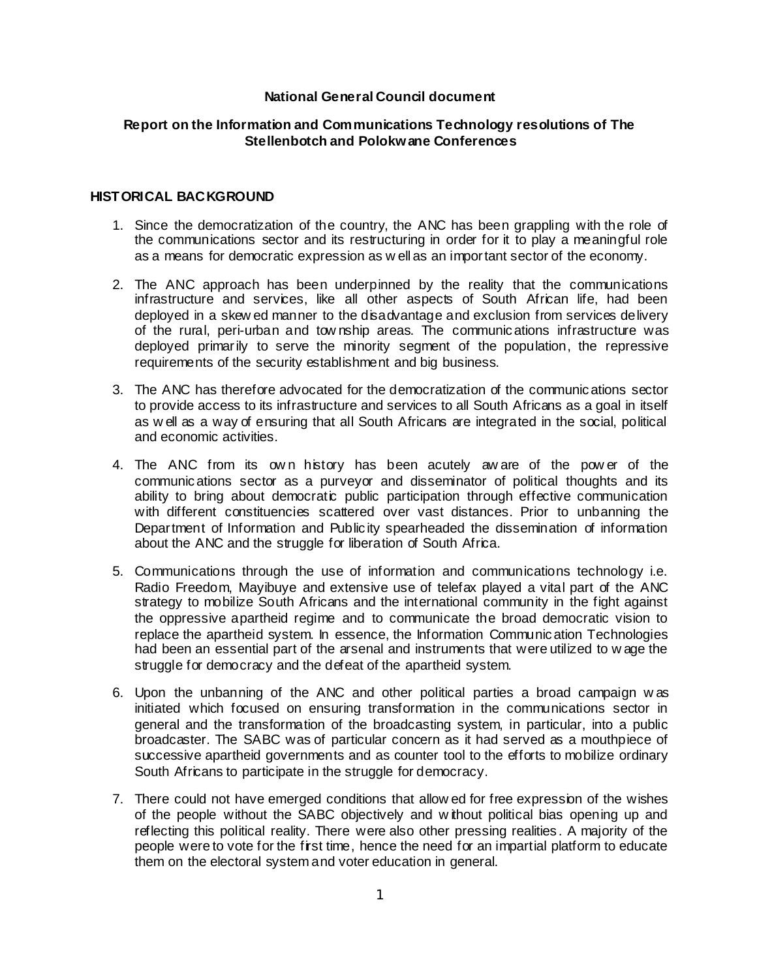## **National General Council document**

## **Report on the Information and Communications Technology resolutions of The Stellenbotch and Polokwane Conferences**

#### **HISTORICAL BACKGROUND**

- 1. Since the democratization of the country, the ANC has been grappling with the role of the communications sector and its restructuring in order for it to play a meaningful role as a means for democratic expression as w ell as an important sector of the economy.
- 2. The ANC approach has been underpinned by the reality that the communications infrastructure and services, like all other aspects of South African life, had been deployed in a skew ed manner to the disadvantage and exclusion from services delivery of the rural, peri-urban and tow nship areas. The communications infrastructure was deployed primarily to serve the minority segment of the population, the repressive requirements of the security establishment and big business.
- 3. The ANC has therefore advocated for the democratization of the communications sector to provide access to its infrastructure and services to all South Africans as a goal in itself as w ell as a way of ensuring that all South Africans are integrated in the social, political and economic activities.
- 4. The ANC from its ow n history has been acutely aw are of the pow er of the communications sector as a purveyor and disseminator of political thoughts and its ability to bring about democratic public participation through effective communication with different constituencies scattered over vast distances. Prior to unbanning the Department of Information and Publicity spearheaded the dissemination of information about the ANC and the struggle for liberation of South Africa.
- 5. Communications through the use of information and communications technology i.e. Radio Freedom, Mayibuye and extensive use of telefax played a vital part of the ANC strategy to mobilize South Africans and the international community in the fight against the oppressive apartheid regime and to communicate the broad democratic vision to replace the apartheid system. In essence, the Information Communication Technologies had been an essential part of the arsenal and instruments that were utilized to w age the struggle for democracy and the defeat of the apartheid system.
- 6. Upon the unbanning of the ANC and other political parties a broad campaign w as initiated which focused on ensuring transformation in the communications sector in general and the transformation of the broadcasting system, in particular, into a public broadcaster. The SABC was of particular concern as it had served as a mouthpiece of successive apartheid governments and as counter tool to the efforts to mobilize ordinary South Africans to participate in the struggle for democracy.
- 7. There could not have emerged conditions that allow ed for free expression of the wishes of the people without the SABC objectively and w ithout political bias opening up and reflecting this political reality. There were also other pressing realities. A majority of the people were to vote for the first time, hence the need for an impartial platform to educate them on the electoral system and voter education in general.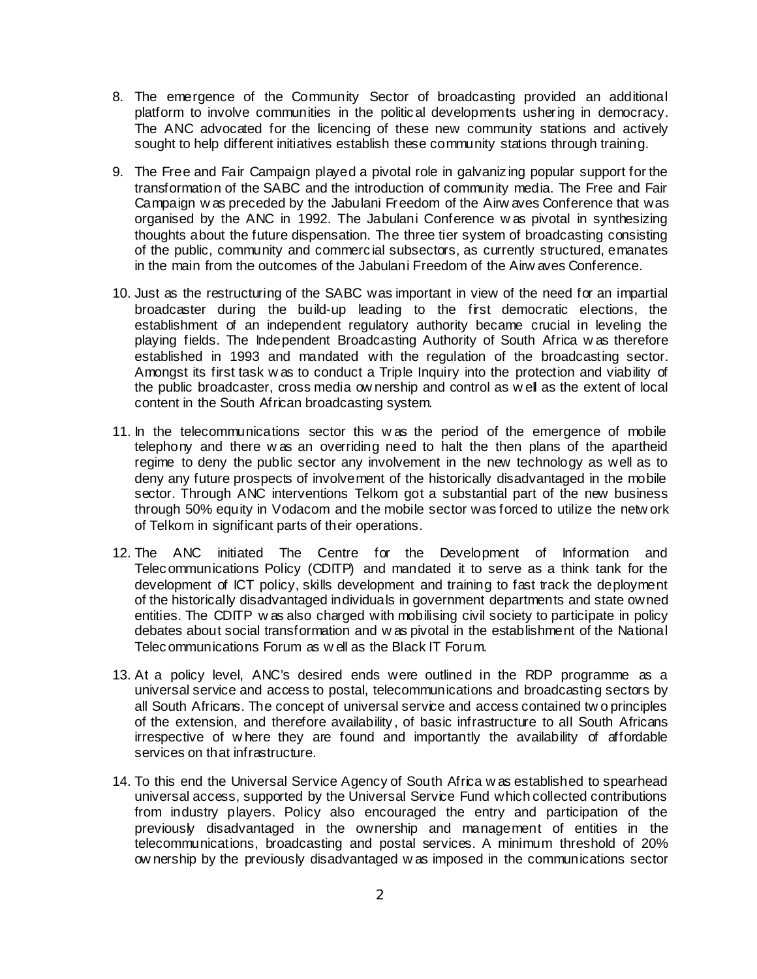- 8. The emergence of the Community Sector of broadcasting provided an additional platform to involve communities in the political developments ushering in democracy. The ANC advocated for the licencing of these new community stations and actively sought to help different initiatives establish these community stations through training.
- 9. The Free and Fair Campaign played a pivotal role in galvanizing popular support for the transformation of the SABC and the introduction of community media. The Free and Fair Campaign w as preceded by the Jabulani Freedom of the Airw aves Conference that was organised by the ANC in 1992. The Jabulani Conference w as pivotal in synthesizing thoughts about the future dispensation. The three tier system of broadcasting consisting of the public, community and commercial subsectors, as currently structured, emanates in the main from the outcomes of the Jabulani Freedom of the Airw aves Conference.
- 10. Just as the restructuring of the SABC was important in view of the need for an impartial broadcaster during the build-up leading to the first democratic elections, the establishment of an independent regulatory authority became crucial in leveling the playing fields. The Independent Broadcasting Authority of South Africa w as therefore established in 1993 and mandated with the regulation of the broadcasting sector. Amongst its first task w as to conduct a Triple Inquiry into the protection and viability of the public broadcaster, cross media ow nership and control as w ell as the extent of local content in the South African broadcasting system.
- 11. In the telecommunications sector this w as the period of the emergence of mobile telephony and there w as an overriding need to halt the then plans of the apartheid regime to deny the public sector any involvement in the new technology as well as to deny any future prospects of involvement of the historically disadvantaged in the mobile sector. Through ANC interventions Telkom got a substantial part of the new business through 50% equity in Vodacom and the mobile sector was forced to utilize the netw ork of Telkom in significant parts of their operations.
- 12. The ANC initiated The Centre for the Development of Information and Telecommunications Policy (CDITP) and mandated it to serve as a think tank for the development of ICT policy, skills development and training to fast track the deployment of the historically disadvantaged individuals in government departments and state owned entities. The CDITP w as also charged with mobilising civil society to participate in policy debates about social transformation and w as pivotal in the establishment of the National Telecommunications Forum as w ell as the Black IT Forum.
- 13. At a policy level, ANC's desired ends were outlined in the RDP programme as a universal service and access to postal, telecommunications and broadcasting sectors by all South Africans. The concept of universal service and access contained tw o principles of the extension, and therefore availability, of basic infrastructure to all South Africans irrespective of w here they are found and importantly the availability of affordable services on that infrastructure.
- 14. To this end the Universal Service Agency of South Africa w as established to spearhead universal access, supported by the Universal Service Fund which collected contributions from industry players. Policy also encouraged the entry and participation of the previously disadvantaged in the ownership and management of entities in the telecommunications, broadcasting and postal services. A minimum threshold of 20% ow nership by the previously disadvantaged w as imposed in the communications sector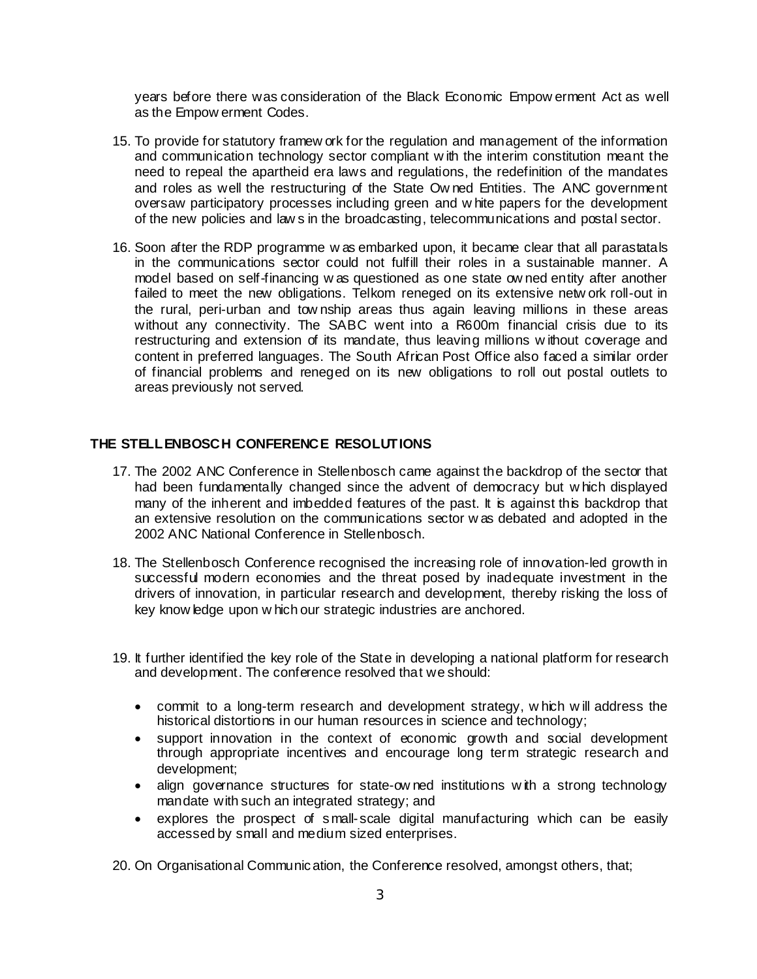years before there was consideration of the Black Economic Empow erment Act as well as the Empow erment Codes.

- 15. To provide for statutory framew ork for the regulation and management of the information and communication technology sector compliant w ith the interim constitution meant the need to repeal the apartheid era laws and regulations, the redefinition of the mandates and roles as well the restructuring of the State Ow ned Entities. The ANC government oversaw participatory processes including green and w hite papers for the development of the new policies and law s in the broadcasting, telecommunications and postal sector.
- 16. Soon after the RDP programme w as embarked upon, it became clear that all parastatals in the communications sector could not fulfill their roles in a sustainable manner. A model based on self-financing w as questioned as one state ow ned entity after another failed to meet the new obligations. Telkom reneged on its extensive netw ork roll-out in the rural, peri-urban and tow nship areas thus again leaving millions in these areas without any connectivity. The SABC went into a R600m financial crisis due to its restructuring and extension of its mandate, thus leaving millions w ithout coverage and content in preferred languages. The South African Post Office also faced a similar order of financial problems and reneged on its new obligations to roll out postal outlets to areas previously not served.

## **THE STELLENBOSCH CONFERENCE RESOLUTIONS**

- 17. The 2002 ANC Conference in Stellenbosch came against the backdrop of the sector that had been fundamentally changed since the advent of democracy but w hich displayed many of the inherent and imbedded features of the past. It is against this backdrop that an extensive resolution on the communications sector w as debated and adopted in the 2002 ANC National Conference in Stellenbosch.
- 18. The Stellenbosch Conference recognised the increasing role of innovation-led growth in successful modern economies and the threat posed by inadequate investment in the drivers of innovation, in particular research and development, thereby risking the loss of key know ledge upon w hich our strategic industries are anchored.
- 19. It further identified the key role of the State in developing a national platform for research and development. The conference resolved that we should:
	- commit to a long-term research and development strategy, w hich w ill address the historical distortions in our human resources in science and technology;
	- support innovation in the context of economic growth and social development through appropriate incentives and encourage long term strategic research and development;
	- align governance structures for state-ow ned institutions with a strong technology mandate with such an integrated strategy; and
	- explores the prospect of small-scale digital manufacturing which can be easily accessed by small and medium sized enterprises.

20. On Organisational Communication, the Conference resolved, amongst others, that;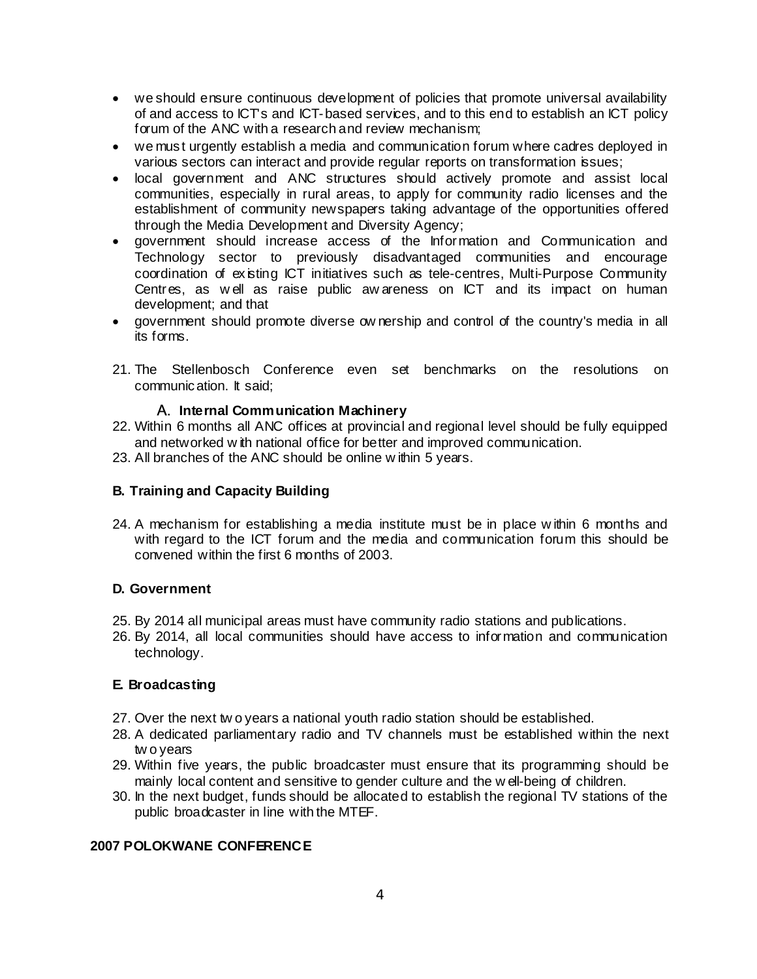- we should ensure continuous development of policies that promote universal availability of and access to ICT's and ICT-based services, and to this end to establish an ICT policy forum of the ANC with a research and review mechanism;
- we must urgently establish a media and communication forum where cadres deployed in various sectors can interact and provide regular reports on transformation issues;
- local government and ANC structures should actively promote and assist local communities, especially in rural areas, to apply for community radio licenses and the establishment of community newspapers taking advantage of the opportunities offered through the Media Development and Diversity Agency;
- government should increase access of the Information and Communication and Technology sector to previously disadvantaged communities and encourage coordination of existing ICT initiatives such as tele-centres, Multi-Purpose Community Centres, as well as raise public aw areness on ICT and its impact on human development; and that
- government should promote diverse ow nership and control of the country's media in all its forms.
- 21. The Stellenbosch Conference even set benchmarks on the resolutions on communication. It said;

# A. **Internal Communication Machinery**

- 22. Within 6 months all ANC offices at provincial and regional level should be fully equipped and networked w ith national office for better and improved communication.
- 23. All branches of the ANC should be online w ithin 5 years.

# **B. Training and Capacity Building**

24. A mechanism for establishing a media institute must be in place w ithin 6 months and with regard to the ICT forum and the media and communication forum this should be convened within the first 6 months of 2003.

## **D. Government**

- 25. By 2014 all municipal areas must have community radio stations and publications.
- 26. By 2014, all local communities should have access to information and communication technology.

## **E. Broadcasting**

- 27. Over the next tw o years a national youth radio station should be established.
- 28. A dedicated parliamentary radio and TV channels must be established within the next tw o years
- 29. Within five years, the public broadcaster must ensure that its programming should be mainly local content and sensitive to gender culture and the w ell-being of children.
- 30. In the next budget, funds should be allocated to establish the regional TV stations of the public broadcaster in line with the MTEF.

# **2007 POLOKWANE CONFERENCE**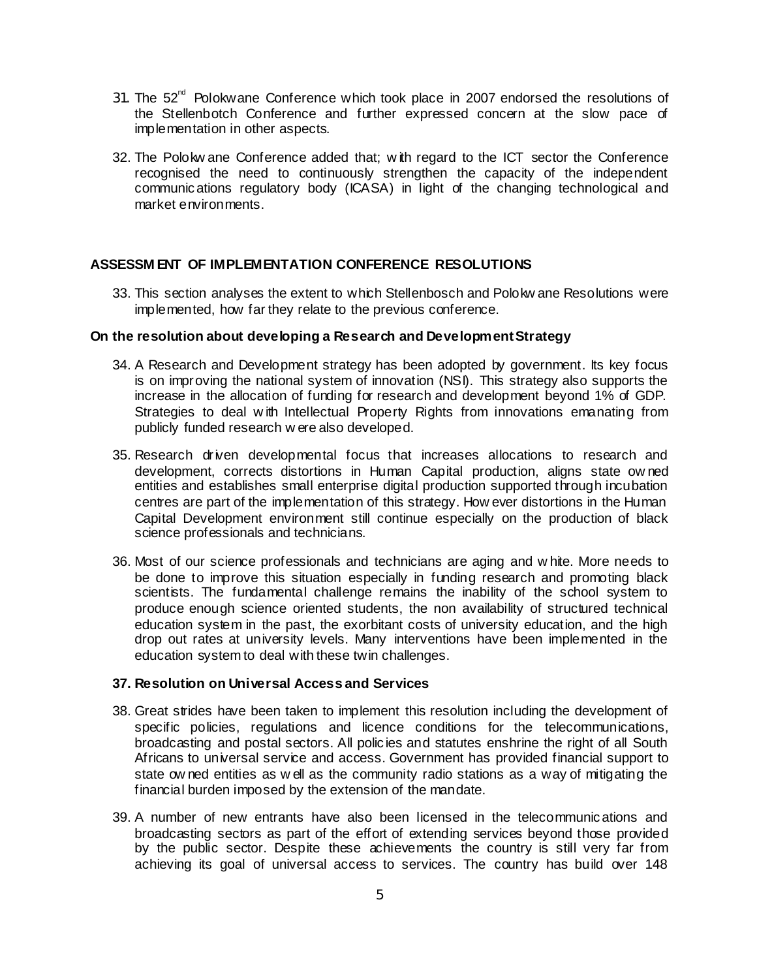- 31. The  $52<sup>nd</sup>$  Polokwane Conference which took place in 2007 endorsed the resolutions of the Stellenbotch Conference and further expressed concern at the slow pace of implementation in other aspects.
- 32. The Polokw ane Conference added that; w ith regard to the ICT sector the Conference recognised the need to continuously strengthen the capacity of the independent communications regulatory body (ICASA) in light of the changing technological and market environments.

### **ASSESSM ENT OF IMPLEMENTATION CONFERENCE RESOLUTIONS**

33. This section analyses the extent to which Stellenbosch and Polokw ane Resolutions were implemented, how far they relate to the previous conference.

#### **On the resolution about developing a Research and Development Strategy**

- 34. A Research and Development strategy has been adopted by government. Its key focus is on improving the national system of innovation (NSI). This strategy also supports the increase in the allocation of funding for research and development beyond 1% of GDP. Strategies to deal w ith Intellectual Property Rights from innovations emanating from publicly funded research w ere also developed.
- 35. Research driven developmental focus that increases allocations to research and development, corrects distortions in Human Capital production, aligns state ow ned entities and establishes small enterprise digital production supported through incubation centres are part of the implementation of this strategy. How ever distortions in the Human Capital Development environment still continue especially on the production of black science professionals and technicians.
- 36. Most of our science professionals and technicians are aging and w hite. More needs to be done to improve this situation especially in funding research and promoting black scientists. The fundamental challenge remains the inability of the school system to produce enough science oriented students, the non availability of structured technical education system in the past, the exorbitant costs of university education, and the high drop out rates at university levels. Many interventions have been implemented in the education system to deal with these twin challenges.

#### **37. Resolution on Universal Access and Services**

- 38. Great strides have been taken to implement this resolution including the development of specific policies, regulations and licence conditions for the telecommunications, broadcasting and postal sectors. All policies and statutes enshrine the right of all South Africans to universal service and access. Government has provided financial support to state ow ned entities as w ell as the community radio stations as a way of mitigating the financial burden imposed by the extension of the mandate.
- 39. A number of new entrants have also been licensed in the telecommunications and broadcasting sectors as part of the effort of extending services beyond those provided by the public sector. Despite these achievements the country is still very far from achieving its goal of universal access to services. The country has build over 148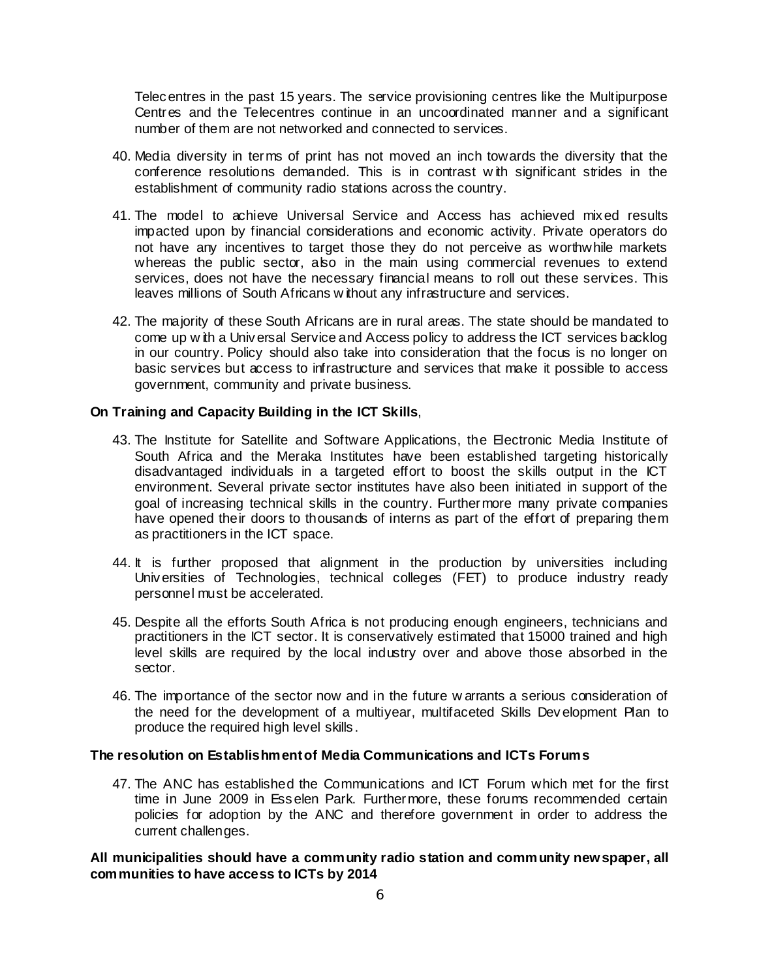Telecentres in the past 15 years. The service provisioning centres like the Multipurpose Centres and the Telecentres continue in an uncoordinated manner and a significant number of them are not networked and connected to services.

- 40. Media diversity in terms of print has not moved an inch towards the diversity that the conference resolutions demanded. This is in contrast w ith significant strides in the establishment of community radio stations across the country.
- 41. The model to achieve Universal Service and Access has achieved mixed results impacted upon by financial considerations and economic activity. Private operators do not have any incentives to target those they do not perceive as worthwhile markets whereas the public sector, also in the main using commercial revenues to extend services, does not have the necessary financial means to roll out these services. This leaves millions of South Africans w ithout any infrastructure and services.
- 42. The majority of these South Africans are in rural areas. The state should be mandated to come up w ith a Universal Service and Access policy to address the ICT services backlog in our country. Policy should also take into consideration that the focus is no longer on basic services but access to infrastructure and services that make it possible to access government, community and private business.

## **On Training and Capacity Building in the ICT Skills**,

- 43. The Institute for Satellite and Software Applications, the Electronic Media Institute of South Africa and the Meraka Institutes have been established targeting historically disadvantaged individuals in a targeted effort to boost the skills output in the ICT environment. Several private sector institutes have also been initiated in support of the goal of increasing technical skills in the country. Furthermore many private companies have opened their doors to thousands of interns as part of the effort of preparing them as practitioners in the ICT space.
- 44. It is further proposed that alignment in the production by universities including Universities of Technologies, technical colleges (FET) to produce industry ready personnel must be accelerated.
- 45. Despite all the efforts South Africa is not producing enough engineers, technicians and practitioners in the ICT sector. It is conservatively estimated that 15000 trained and high level skills are required by the local industry over and above those absorbed in the sector.
- 46. The importance of the sector now and in the future w arrants a serious consideration of the need for the development of a multiyear, multifaceted Skills Development Plan to produce the required high level skills.

# **The resolution on Establishment of Media Communications and ICTs Forums**

47. The ANC has established the Communications and ICT Forum which met for the first time in June 2009 in Esselen Park. Furthermore, these forums recommended certain policies for adoption by the ANC and therefore government in order to address the current challenges.

## **All municipalities should have a community radio station and community newspaper, all communities to have access to ICTs by 2014**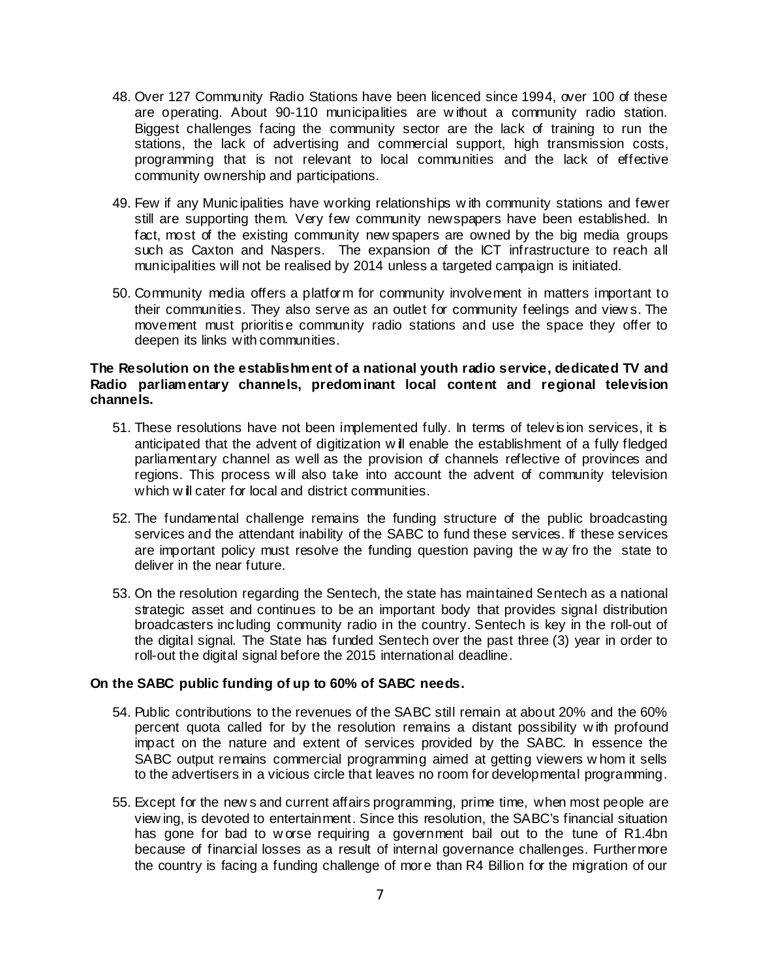- 48. Over 127 Community Radio Stations have been licenced since 1994, over 100 of these are operating. About 90-110 municipalities are w ithout a community radio station. Biggest challenges facing the community sector are the lack of training to run the stations, the lack of advertising and commercial support, high transmission costs, programming that is not relevant to local communities and the lack of effective community ownership and participations.
- 49. Few if any Municipalities have working relationships w ith community stations and fewer still are supporting them. Very few community newspapers have been established. In fact, most of the existing community new spapers are owned by the big media groups such as Caxton and Naspers. The expansion of the ICT infrastructure to reach all municipalities will not be realised by 2014 unless a targeted campaign is initiated.
- 50. Community media offers a platform for community involvement in matters important to their communities. They also serve as an outlet for community feelings and view s. The movement must prioritise community radio stations and use the space they offer to deepen its links with communities.

## **The Resolution on the establishment of a national youth radio service, dedicated TV and Radio parliamentary channels, predominant local content and regional television channels.**

- 51. These resolutions have not been implemented fully. In terms of television services, it is anticipated that the advent of digitization w ill enable the establishment of a fully fledged parliamentary channel as well as the provision of channels reflective of provinces and regions. This process w ill also take into account the advent of community television which w ill cater for local and district communities.
- 52. The fundamental challenge remains the funding structure of the public broadcasting services and the attendant inability of the SABC to fund these services. If these services are important policy must resolve the funding question paving the w ay fro the state to deliver in the near future.
- 53. On the resolution regarding the Sentech, the state has maintained Sentech as a national strategic asset and continues to be an important body that provides signal distribution broadcasters including community radio in the country. Sentech is key in the roll-out of the digital signal. The State has funded Sentech over the past three (3) year in order to roll-out the digital signal before the 2015 international deadline.

## **On the SABC public funding of up to 60% of SABC needs.**

- 54. Public contributions to the revenues of the SABC still remain at about 20% and the 60% percent quota called for by the resolution remains a distant possibility w ith profound impact on the nature and extent of services provided by the SABC. In essence the SABC output remains commercial programming aimed at getting viewers w hom it sells to the advertisers in a vicious circle that leaves no room for developmental programming.
- 55. Except for the new s and current affairs programming, prime time, when most people are view ing, is devoted to entertainment. Since this resolution, the SABC's financial situation has gone for bad to w orse requiring a government bail out to the tune of R1.4bn because of financial losses as a result of internal governance challenges. Furthermore the country is facing a funding challenge of more than R4 Billion for the migration of our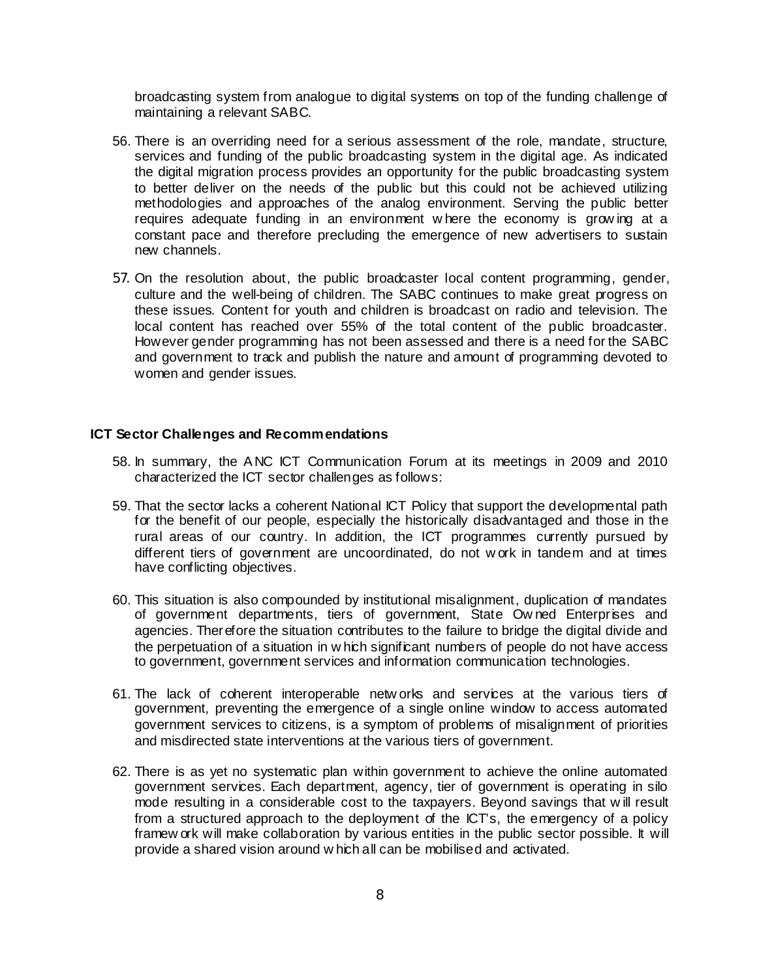broadcasting system from analogue to digital systems on top of the funding challenge of maintaining a relevant SABC.

- 56. There is an overriding need for a serious assessment of the role, mandate, structure, services and funding of the public broadcasting system in the digital age. As indicated the digital migration process provides an opportunity for the public broadcasting system to better deliver on the needs of the public but this could not be achieved utilizing methodologies and approaches of the analog environment. Serving the public better requires adequate funding in an environment w here the economy is grow ing at a constant pace and therefore precluding the emergence of new advertisers to sustain new channels.
- 57. On the resolution about, the public broadcaster local content programming, gender, culture and the well-being of children. The SABC continues to make great progress on these issues. Content for youth and children is broadcast on radio and television. The local content has reached over 55% of the total content of the public broadcaster. However gender programming has not been assessed and there is a need for the SABC and government to track and publish the nature and amount of programming devoted to women and gender issues.

#### **ICT Sector Challenges and Recommendations**

- 58. In summary, the A NC ICT Communication Forum at its meetings in 2009 and 2010 characterized the ICT sector challenges as follows:
- 59. That the sector lacks a coherent National ICT Policy that support the developmental path for the benefit of our people, especially the historically disadvantaged and those in the rural areas of our country. In addition, the ICT programmes currently pursued by different tiers of government are uncoordinated, do not w ork in tandem and at times have conflicting objectives.
- 60. This situation is also compounded by institutional misalignment, duplication of mandates of government departments, tiers of government, State Owned Enterprises and agencies. Therefore the situation contributes to the failure to bridge the digital divide and the perpetuation of a situation in w hich significant numbers of people do not have access to government, government services and information communication technologies.
- 61. The lack of coherent interoperable netw orks and services at the various tiers of government, preventing the emergence of a single online window to access automated government services to citizens, is a symptom of problems of misalignment of priorities and misdirected state interventions at the various tiers of government.
- 62. There is as yet no systematic plan within government to achieve the online automated government services. Each department, agency, tier of government is operating in silo mode resulting in a considerable cost to the taxpayers. Beyond savings that w ill result from a structured approach to the deployment of the ICT's, the emergency of a policy framew ork will make collaboration by various entities in the public sector possible. It will provide a shared vision around w hich all can be mobilised and activated.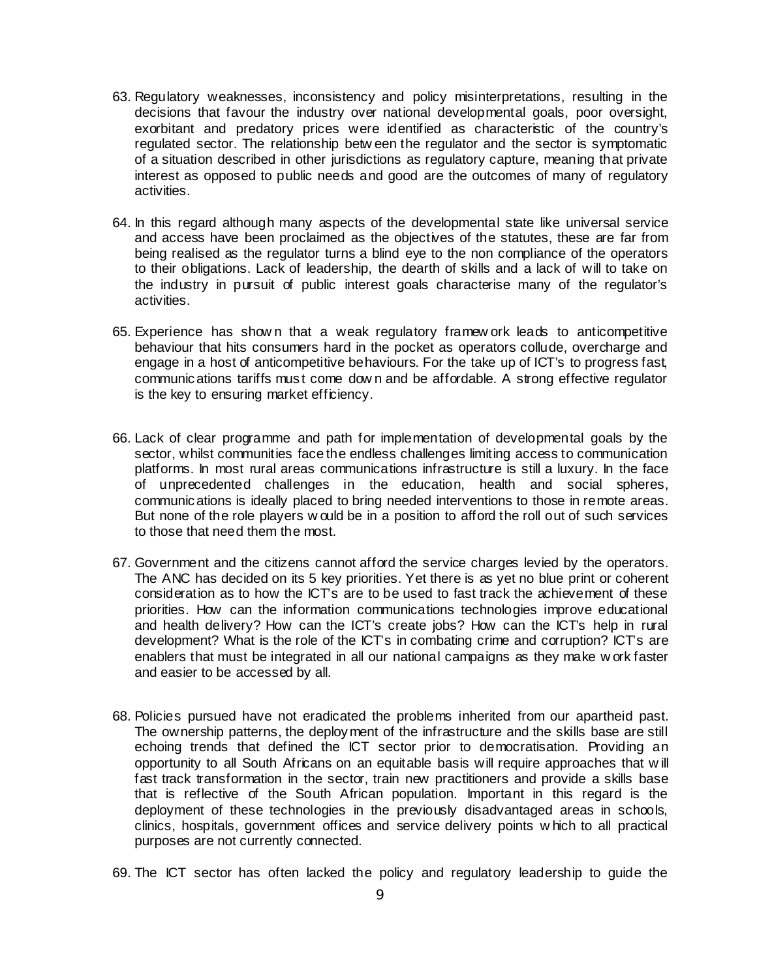- 63. Regulatory weaknesses, inconsistency and policy misinterpretations, resulting in the decisions that favour the industry over national developmental goals, poor oversight, exorbitant and predatory prices were identified as characteristic of the country's regulated sector. The relationship betw een the regulator and the sector is symptomatic of a situation described in other jurisdictions as regulatory capture, meaning that private interest as opposed to public needs and good are the outcomes of many of regulatory activities.
- 64. In this regard although many aspects of the developmental state like universal service and access have been proclaimed as the objectives of the statutes, these are far from being realised as the regulator turns a blind eye to the non compliance of the operators to their obligations. Lack of leadership, the dearth of skills and a lack of will to take on the industry in pursuit of public interest goals characterise many of the regulator's activities.
- 65. Experience has show n that a weak regulatory framew ork leads to anticompetitive behaviour that hits consumers hard in the pocket as operators collude, overcharge and engage in a host of anticompetitive behaviours. For the take up of ICT's to progress fast, communications tariffs must come dow n and be affordable. A strong effective regulator is the key to ensuring market efficiency.
- 66. Lack of clear programme and path for implementation of developmental goals by the sector, whilst communities face the endless challenges limiting access to communication platforms. In most rural areas communications infrastructure is still a luxury. In the face of unprecedented challenges in the education, health and social spheres, communications is ideally placed to bring needed interventions to those in remote areas. But none of the role players w ould be in a position to afford the roll out of such services to those that need them the most.
- 67. Government and the citizens cannot afford the service charges levied by the operators. The ANC has decided on its 5 key priorities. Yet there is as yet no blue print or coherent consideration as to how the ICT's are to be used to fast track the achievement of these priorities. How can the information communications technologies improve educational and health delivery? How can the ICT's create jobs? How can the ICT's help in rural development? What is the role of the ICT's in combating crime and corruption? ICT's are enablers that must be integrated in all our national campaigns as they make w ork faster and easier to be accessed by all.
- 68. Policies pursued have not eradicated the problems inherited from our apartheid past. The ownership patterns, the deployment of the infrastructure and the skills base are still echoing trends that defined the ICT sector prior to democratisation. Providing an opportunity to all South Africans on an equitable basis will require approaches that w ill fast track transformation in the sector, train new practitioners and provide a skills base that is reflective of the South African population. Important in this regard is the deployment of these technologies in the previously disadvantaged areas in schools, clinics, hospitals, government offices and service delivery points w hich to all practical purposes are not currently connected.
- 69. The ICT sector has often lacked the policy and regulatory leadership to guide the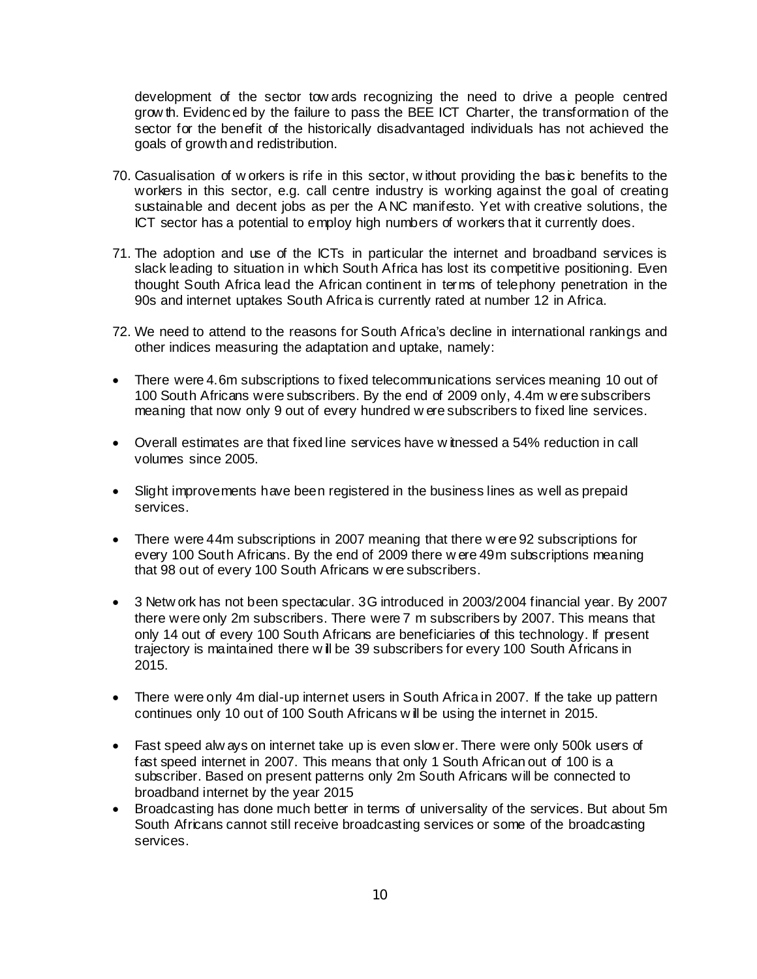development of the sector tow ards recognizing the need to drive a people centred grow th. Evidenced by the failure to pass the BEE ICT Charter, the transformation of the sector for the benefit of the historically disadvantaged individuals has not achieved the goals of growth and redistribution.

- 70. Casualisation of w orkers is rife in this sector, w ithout providing the basic benefits to the workers in this sector, e.g. call centre industry is working against the goal of creating sustainable and decent jobs as per the A NC manifesto. Yet with creative solutions, the ICT sector has a potential to employ high numbers of workers that it currently does.
- 71. The adoption and use of the ICTs in particular the internet and broadband services is slack leading to situation in which South Africa has lost its competitive positioning. Even thought South Africa lead the African continent in terms of telephony penetration in the 90s and internet uptakes South Africa is currently rated at number 12 in Africa.
- 72. We need to attend to the reasons for South Africa's decline in international rankings and other indices measuring the adaptation and uptake, namely:
- There were 4.6m subscriptions to fixed telecommunications services meaning 10 out of 100 South Africans were subscribers. By the end of 2009 only, 4.4m w ere subscribers meaning that now only 9 out of every hundred w ere subscribers to fixed line services.
- Overall estimates are that fixed line services have w itnessed a 54% reduction in call volumes since 2005.
- Slight improvements have been registered in the business lines as well as prepaid services.
- There were 44m subscriptions in 2007 meaning that there were 92 subscriptions for every 100 South Africans. By the end of 2009 there w ere 49m subscriptions meaning that 98 out of every 100 South Africans w ere subscribers.
- 3 Netw ork has not been spectacular. 3G introduced in 2003/2004 financial year. By 2007 there were only 2m subscribers. There were 7 m subscribers by 2007. This means that only 14 out of every 100 South Africans are beneficiaries of this technology. If present trajectory is maintained there w ill be 39 subscribers for every 100 South Africans in 2015.
- There were only 4m dial-up internet users in South Africa in 2007. If the take up pattern continues only 10 out of 100 South Africans w ill be using the internet in 2015.
- Fast speed alw ays on internet take up is even slow er. There were only 500k users of fast speed internet in 2007. This means that only 1 South African out of 100 is a subscriber. Based on present patterns only 2m South Africans will be connected to broadband internet by the year 2015
- Broadcasting has done much better in terms of universality of the services. But about 5m South Africans cannot still receive broadcasting services or some of the broadcasting services.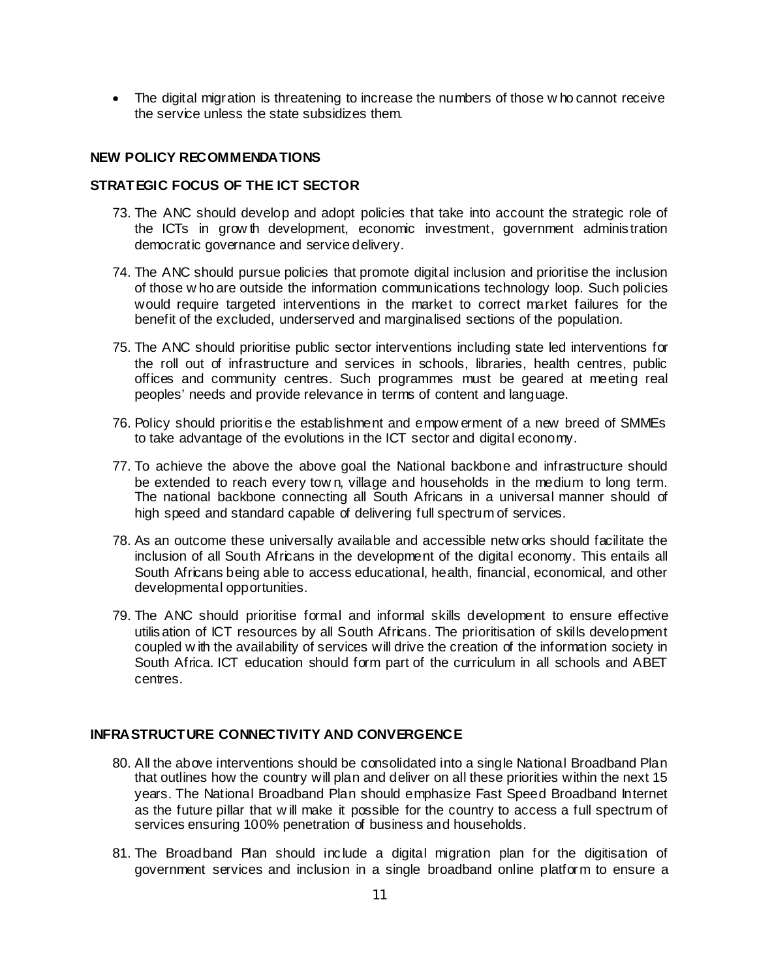• The digital migration is threatening to increase the numbers of those w ho cannot receive the service unless the state subsidizes them.

#### **NEW POLICY RECOMMENDATIONS**

## **STRATEGIC FOCUS OF THE ICT SECTOR**

- 73. The ANC should develop and adopt policies that take into account the strategic role of the ICTs in grow th development, economic investment, government administration democratic governance and service delivery.
- 74. The ANC should pursue policies that promote digital inclusion and prioritise the inclusion of those w ho are outside the information communications technology loop. Such policies would require targeted interventions in the market to correct market failures for the benefit of the excluded, underserved and marginalised sections of the population.
- 75. The ANC should prioritise public sector interventions including state led interventions for the roll out of infrastructure and services in schools, libraries, health centres, public offices and community centres. Such programmes must be geared at meeting real peoples' needs and provide relevance in terms of content and language.
- 76. Policy should prioritise the establishment and empow erment of a new breed of SMMEs to take advantage of the evolutions in the ICT sector and digital economy.
- 77. To achieve the above the above goal the National backbone and infrastructure should be extended to reach every tow n, village and households in the medium to long term. The national backbone connecting all South Africans in a universal manner should of high speed and standard capable of delivering full spectrum of services.
- 78. As an outcome these universally available and accessible netw orks should facilitate the inclusion of all South Africans in the development of the digital economy. This entails all South Africans being able to access educational, health, financial, economical, and other developmental opportunities.
- 79. The ANC should prioritise formal and informal skills development to ensure effective utilisation of ICT resources by all South Africans. The prioritisation of skills development coupled w ith the availability of services will drive the creation of the information society in South Africa. ICT education should form part of the curriculum in all schools and ABET centres.

# **INFRASTRUCTURE CONNECTIVITY AND CONVERGENCE**

- 80. All the above interventions should be consolidated into a single National Broadband Plan that outlines how the country will plan and deliver on all these priorities within the next 15 years. The National Broadband Plan should emphasize Fast Speed Broadband Internet as the future pillar that w ill make it possible for the country to access a full spectrum of services ensuring 100% penetration of business and households.
- 81. The Broadband Plan should include a digital migration plan for the digitisation of government services and inclusion in a single broadband online platform to ensure a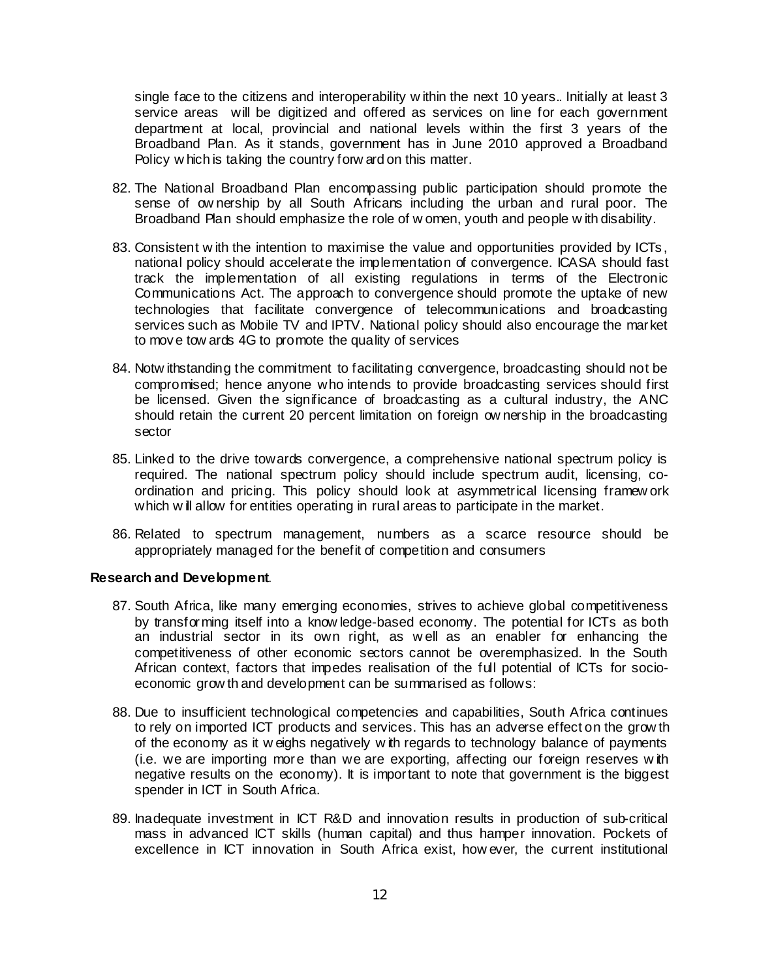single face to the citizens and interoperability w ithin the next 10 years.. Initially at least 3 service areas will be digitized and offered as services on line for each government department at local, provincial and national levels within the first 3 years of the Broadband Plan. As it stands, government has in June 2010 approved a Broadband Policy w hich is taking the country forw ard on this matter.

- 82. The National Broadband Plan encompassing public participation should promote the sense of ow nership by all South Africans including the urban and rural poor. The Broadband Plan should emphasize the role of w omen, youth and people w ith disability.
- 83. Consistent w ith the intention to maximise the value and opportunities provided by ICTs, national policy should accelerate the implementation of convergence. ICASA should fast track the implementation of all existing regulations in terms of the Electronic Communications Act. The approach to convergence should promote the uptake of new technologies that facilitate convergence of telecommunications and broadcasting services such as Mobile TV and IPTV. National policy should also encourage the market to move tow ards 4G to promote the quality of services
- 84. Notw ithstanding the commitment to facilitating convergence, broadcasting should not be compromised; hence anyone who intends to provide broadcasting services should first be licensed. Given the significance of broadcasting as a cultural industry, the ANC should retain the current 20 percent limitation on foreign ow nership in the broadcasting sector
- 85. Linked to the drive towards convergence, a comprehensive national spectrum policy is required. The national spectrum policy should include spectrum audit, licensing, coordination and pricing. This policy should look at asymmetrical licensing framew ork which w ill allow for entities operating in rural areas to participate in the market.
- 86. Related to spectrum management, numbers as a scarce resource should be appropriately managed for the benefit of competition and consumers

#### **Research and Development**.

- 87. South Africa, like many emerging economies, strives to achieve global competitiveness by transforming itself into a know ledge-based economy. The potential for ICTs as both an industrial sector in its own right, as w ell as an enabler for enhancing the competitiveness of other economic sectors cannot be overemphasized. In the South African context, factors that impedes realisation of the full potential of ICTs for socioeconomic grow th and development can be summarised as follows:
- 88. Due to insufficient technological competencies and capabilities, South Africa continues to rely on imported ICT products and services. This has an adverse effect on the grow th of the economy as it w eighs negatively w ith regards to technology balance of payments (i.e. we are importing more than we are exporting, affecting our foreign reserves w ith negative results on the economy). It is important to note that government is the biggest spender in ICT in South Africa.
- 89. Inadequate investment in ICT R&D and innovation results in production of sub-critical mass in advanced ICT skills (human capital) and thus hamper innovation. Pockets of excellence in ICT innovation in South Africa exist, how ever, the current institutional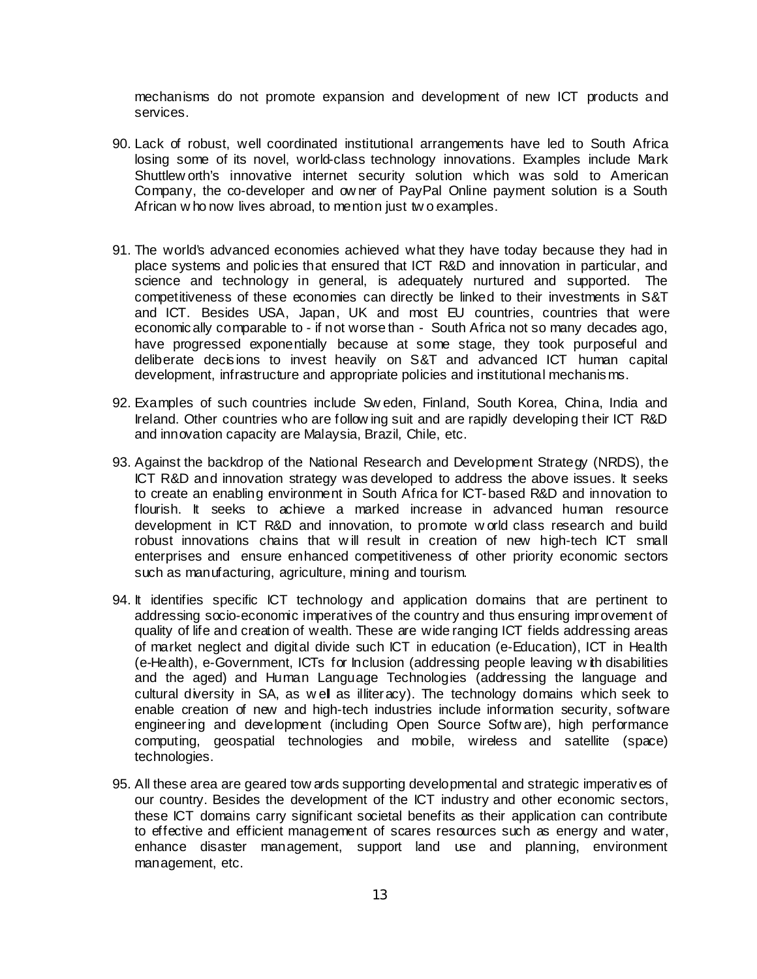mechanisms do not promote expansion and development of new ICT products and services.

- 90. Lack of robust, well coordinated institutional arrangements have led to South Africa losing some of its novel, world-class technology innovations. Examples include Mark Shuttlew orth's innovative internet security solution which was sold to American Company, the co-developer and ow ner of PayPal Online payment solution is a South African w ho now lives abroad, to mention just tw o examples.
- 91. The world's advanced economies achieved what they have today because they had in place systems and policies that ensured that ICT R&D and innovation in particular, and science and technology in general, is adequately nurtured and supported. The competitiveness of these economies can directly be linked to their investments in S&T and ICT. Besides USA, Japan, UK and most EU countries, countries that were economically comparable to - if not worse than - South Africa not so many decades ago, have progressed exponentially because at some stage, they took purposeful and deliberate decisions to invest heavily on S&T and advanced ICT human capital development, infrastructure and appropriate policies and institutional mechanisms.
- 92. Examples of such countries include Sw eden, Finland, South Korea, China, India and Ireland. Other countries who are follow ing suit and are rapidly developing their ICT R&D and innovation capacity are Malaysia, Brazil, Chile, etc.
- 93. Against the backdrop of the National Research and Development Strategy (NRDS), the ICT R&D and innovation strategy was developed to address the above issues. It seeks to create an enabling environment in South Africa for ICT-based R&D and innovation to flourish. It seeks to achieve a marked increase in advanced human resource development in ICT R&D and innovation, to promote w orld class research and build robust innovations chains that w ill result in creation of new high-tech ICT small enterprises and ensure enhanced competitiveness of other priority economic sectors such as manufacturing, agriculture, mining and tourism.
- 94. It identifies specific ICT technology and application domains that are pertinent to addressing socio-economic imperatives of the country and thus ensuring improvement of quality of life and creation of wealth. These are wide ranging ICT fields addressing areas of market neglect and digital divide such ICT in education (e-Education), ICT in Health (e-Health), e-Government, ICTs for Inclusion (addressing people leaving w ith disabilities and the aged) and Human Language Technologies (addressing the language and cultural diversity in SA, as well as illiteracy). The technology domains which seek to enable creation of new and high-tech industries include information security, software engineering and development (including Open Source Softw are), high performance computing, geospatial technologies and mobile, wireless and satellite (space) technologies.
- 95. All these area are geared tow ards supporting developmental and strategic imperatives of our country. Besides the development of the ICT industry and other economic sectors, these ICT domains carry significant societal benefits as their application can contribute to effective and efficient management of scares resources such as energy and water, enhance disaster management, support land use and planning, environment management, etc.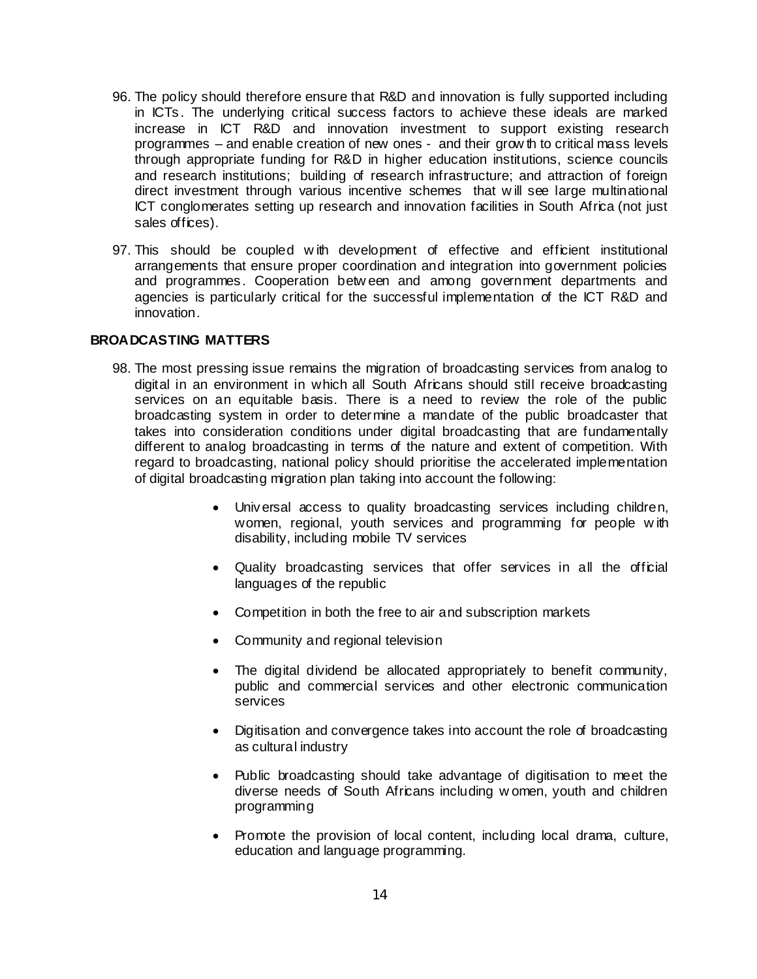- 96. The policy should therefore ensure that R&D and innovation is fully supported including in ICTs. The underlying critical success factors to achieve these ideals are marked increase in ICT R&D and innovation investment to support existing research programmes – and enable creation of new ones - and their grow th to critical mass levels through appropriate funding for R&D in higher education institutions, science councils and research institutions; building of research infrastructure; and attraction of foreign direct investment through various incentive schemes that w ill see large multinational ICT conglomerates setting up research and innovation facilities in South Africa (not just sales offices).
- 97. This should be coupled w ith development of effective and efficient institutional arrangements that ensure proper coordination and integration into government policies and programmes. Cooperation betw een and among government departments and agencies is particularly critical for the successful implementation of the ICT R&D and innovation.

## **BROADCASTING MATTERS**

- 98. The most pressing issue remains the migration of broadcasting services from analog to digital in an environment in which all South Africans should still receive broadcasting services on an equitable basis. There is a need to review the role of the public broadcasting system in order to determine a mandate of the public broadcaster that takes into consideration conditions under digital broadcasting that are fundamentally different to analog broadcasting in terms of the nature and extent of competition. With regard to broadcasting, national policy should prioritise the accelerated implementation of digital broadcasting migration plan taking into account the following:
	- Universal access to quality broadcasting services including children, women, regional, youth services and programming for people w ith disability, including mobile TV services
	- Quality broadcasting services that offer services in all the official languages of the republic
	- Competition in both the free to air and subscription markets
	- Community and regional television
	- The digital dividend be allocated appropriately to benefit community, public and commercial services and other electronic communication services
	- Digitisation and convergence takes into account the role of broadcasting as cultural industry
	- Public broadcasting should take advantage of digitisation to meet the diverse needs of South Africans including w omen, youth and children programming
	- Promote the provision of local content, including local drama, culture, education and language programming.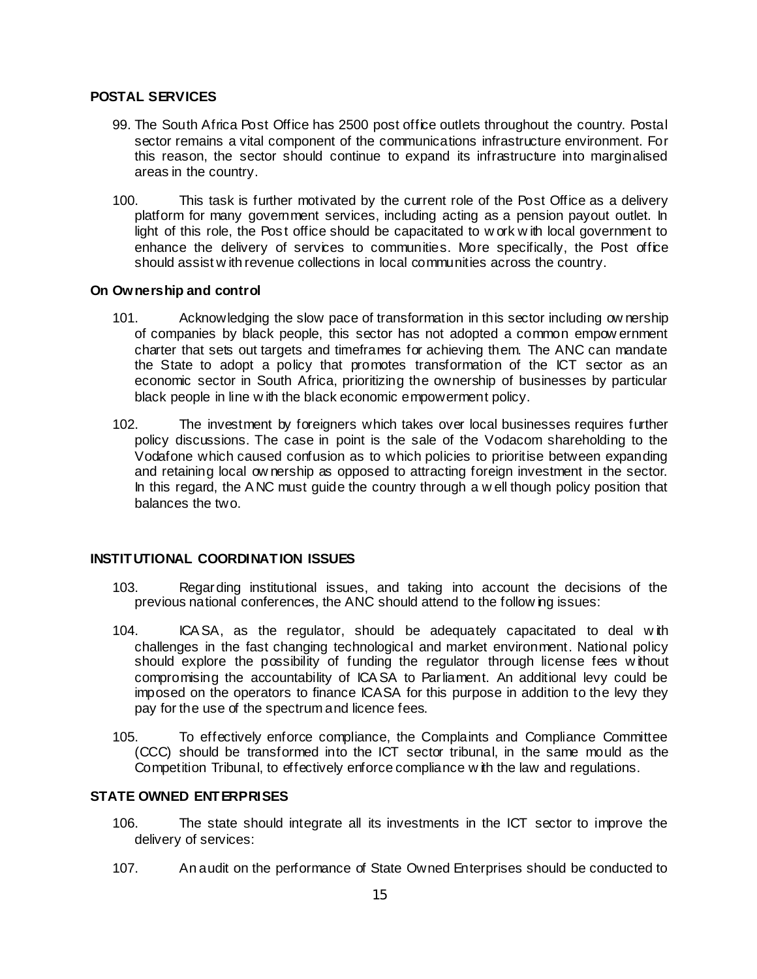## **POSTAL SERVICES**

- 99. The South Africa Post Office has 2500 post office outlets throughout the country. Postal sector remains a vital component of the communications infrastructure environment. For this reason, the sector should continue to expand its infrastructure into marginalised areas in the country.
- 100. This task is further motivated by the current role of the Post Office as a delivery platform for many government services, including acting as a pension payout outlet. In light of this role, the Post office should be capacitated to w ork w ith local government to enhance the delivery of services to communities. More specifically, the Post office should assist w ith revenue collections in local communities across the country.

#### **On Ownership and control**

- 101. Acknowledging the slow pace of transformation in this sector including ow nership of companies by black people, this sector has not adopted a common empow ernment charter that sets out targets and timeframes for achieving them. The ANC can mandate the State to adopt a policy that promotes transformation of the ICT sector as an economic sector in South Africa, prioritizing the ownership of businesses by particular black people in line w ith the black economic empowerment policy.
- 102. The investment by foreigners which takes over local businesses requires further policy discussions. The case in point is the sale of the Vodacom shareholding to the Vodafone which caused confusion as to which policies to prioritise between expanding and retaining local ow nership as opposed to attracting foreign investment in the sector. In this regard, the A NC must guide the country through a w ell though policy position that balances the two.

## **INSTITUTIONAL COORDINATION ISSUES**

- 103. Regarding institutional issues, and taking into account the decisions of the previous national conferences, the ANC should attend to the follow ing issues:
- 104. ICA SA, as the regulator, should be adequately capacitated to deal w ith challenges in the fast changing technological and market environment. National policy should explore the possibility of funding the regulator through license fees w ithout compromising the accountability of ICA SA to Parliament. An additional levy could be imposed on the operators to finance ICASA for this purpose in addition to the levy they pay for the use of the spectrum and licence fees.
- 105. To effectively enforce compliance, the Complaints and Compliance Committee (CCC) should be transformed into the ICT sector tribunal, in the same mould as the Competition Tribunal, to effectively enforce compliance w ith the law and regulations.

#### **STATE OWNED ENTERPRISES**

- 106. The state should integrate all its investments in the ICT sector to improve the delivery of services:
- 107. An audit on the performance of State Owned Enterprises should be conducted to